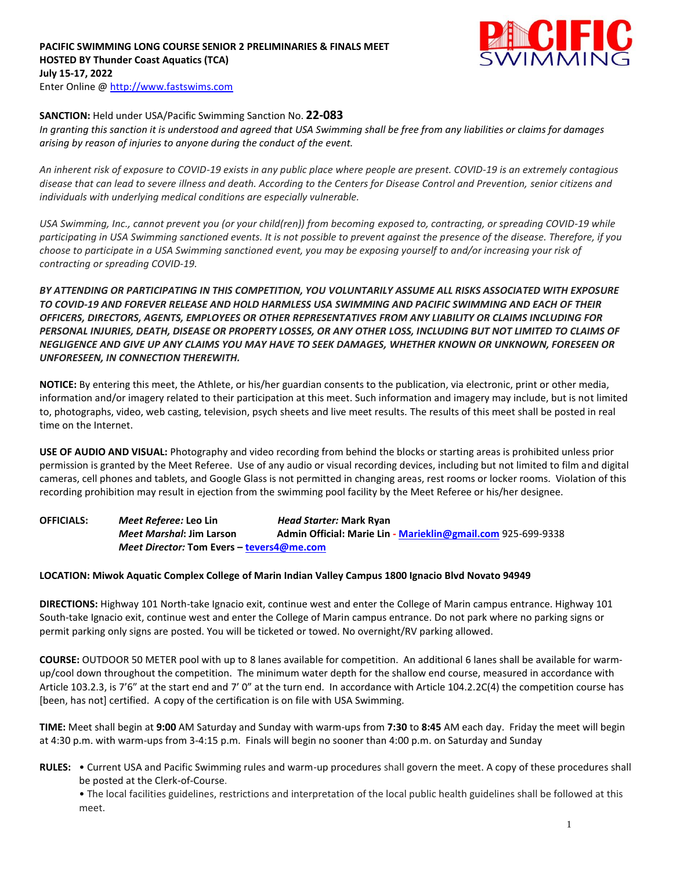### **PACIFIC SWIMMING LONG COURSE SENIOR 2 PRELIMINARIES & FINALS MEET HOSTED BY Thunder Coast Aquatics (TCA) July 15-17, 2022** Enter Online @ [http://www.fastswims.com](http://www.fastswims.com/)



# **SANCTION:** Held under USA/Pacific Swimming Sanction No. **22-083**

*In granting this sanction it is understood and agreed that USA Swimming shall be free from any liabilities or claims for damages arising by reason of injuries to anyone during the conduct of the event.*

*An inherent risk of exposure to COVID-19 exists in any public place where people are present. COVID-19 is an extremely contagious disease that can lead to severe illness and death. According to the Centers for Disease Control and Prevention, senior citizens and individuals with underlying medical conditions are especially vulnerable.*

*USA Swimming, Inc., cannot prevent you (or your child(ren)) from becoming exposed to, contracting, or spreading COVID-19 while participating in USA Swimming sanctioned events. It is not possible to prevent against the presence of the disease. Therefore, if you choose to participate in a USA Swimming sanctioned event, you may be exposing yourself to and/or increasing your risk of contracting or spreading COVID-19.*

*BY ATTENDING OR PARTICIPATING IN THIS COMPETITION, YOU VOLUNTARILY ASSUME ALL RISKS ASSOCIATED WITH EXPOSURE TO COVID-19 AND FOREVER RELEASE AND HOLD HARMLESS USA SWIMMING AND PACIFIC SWIMMING AND EACH OF THEIR OFFICERS, DIRECTORS, AGENTS, EMPLOYEES OR OTHER REPRESENTATIVES FROM ANY LIABILITY OR CLAIMS INCLUDING FOR PERSONAL INJURIES, DEATH, DISEASE OR PROPERTY LOSSES, OR ANY OTHER LOSS, INCLUDING BUT NOT LIMITED TO CLAIMS OF NEGLIGENCE AND GIVE UP ANY CLAIMS YOU MAY HAVE TO SEEK DAMAGES, WHETHER KNOWN OR UNKNOWN, FORESEEN OR UNFORESEEN, IN CONNECTION THEREWITH.*

**NOTICE:** By entering this meet, the Athlete, or his/her guardian consents to the publication, via electronic, print or other media, information and/or imagery related to their participation at this meet. Such information and imagery may include, but is not limited to, photographs, video, web casting, television, psych sheets and live meet results. The results of this meet shall be posted in real time on the Internet.

**USE OF AUDIO AND VISUAL:** Photography and video recording from behind the blocks or starting areas is prohibited unless prior permission is granted by the Meet Referee. Use of any audio or visual recording devices, including but not limited to film and digital cameras, cell phones and tablets, and Google Glass is not permitted in changing areas, rest rooms or locker rooms. Violation of this recording prohibition may result in ejection from the swimming pool facility by the Meet Referee or his/her designee.

**OFFICIALS:** *Meet Referee:* **Leo Lin** *Head Starter:* **Mark Ryan** *Meet Marshal***: Jim Larson Admin Official: Marie Lin - [Marieklin@gmail.com](mailto:Marieklin@gmail.com)** 925-699-9338 *Meet Director:* **Tom Evers – [tevers4@me.com](mailto:tevers4@me.com)**

## **LOCATION: Miwok Aquatic Complex College of Marin Indian Valley Campus 1800 Ignacio Blvd Novato 94949**

**DIRECTIONS:** Highway 101 North-take Ignacio exit, continue west and enter the College of Marin campus entrance. Highway 101 South-take Ignacio exit, continue west and enter the College of Marin campus entrance. Do not park where no parking signs or permit parking only signs are posted. You will be ticketed or towed. No overnight/RV parking allowed.

**COURSE:** OUTDOOR 50 METER pool with up to 8 lanes available for competition. An additional 6 lanes shall be available for warmup/cool down throughout the competition. The minimum water depth for the shallow end course, measured in accordance with Article 103.2.3, is 7'6" at the start end and 7' 0" at the turn end. In accordance with Article 104.2.2C(4) the competition course has [been, has not] certified. A copy of the certification is on file with USA Swimming.

**TIME:** Meet shall begin at **9:00** AM Saturday and Sunday with warm-ups from **7:30** to **8:45** AM each day. Friday the meet will begin at 4:30 p.m. with warm-ups from 3-4:15 p.m. Finals will begin no sooner than 4:00 p.m. on Saturday and Sunday

**RULES:** • Current USA and Pacific Swimming rules and warm-up procedures shall govern the meet. A copy of these procedures shall be posted at the Clerk-of-Course.

• The local facilities guidelines, restrictions and interpretation of the local public health guidelines shall be followed at this meet.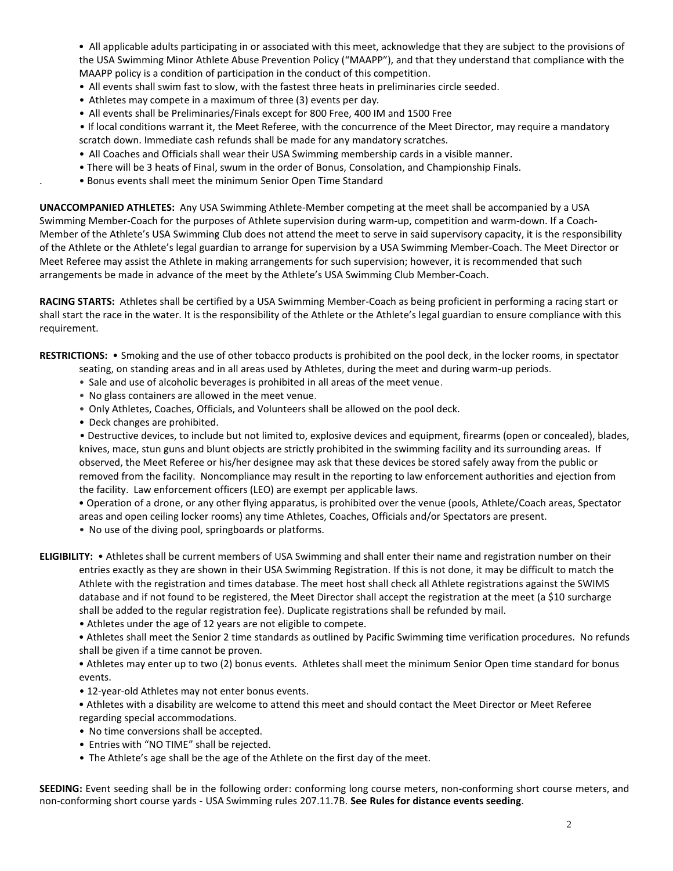• All applicable adults participating in or associated with this meet, acknowledge that they are subject to the provisions of the USA Swimming Minor Athlete Abuse Prevention Policy ("MAAPP"), and that they understand that compliance with the MAAPP policy is a condition of participation in the conduct of this competition.

- All events shall swim fast to slow, with the fastest three heats in preliminaries circle seeded.
- Athletes may compete in a maximum of three (3) events per day.
- All events shall be Preliminaries/Finals except for 800 Free, 400 IM and 1500 Free

 • If local conditions warrant it, the Meet Referee, with the concurrence of the Meet Director, may require a mandatory scratch down. Immediate cash refunds shall be made for any mandatory scratches.

- All Coaches and Officials shall wear their USA Swimming membership cards in a visible manner.
- There will be 3 heats of Final, swum in the order of Bonus, Consolation, and Championship Finals.
- . Bonus events shall meet the minimum Senior Open Time Standard

**UNACCOMPANIED ATHLETES:** Any USA Swimming Athlete-Member competing at the meet shall be accompanied by a USA Swimming Member-Coach for the purposes of Athlete supervision during warm-up, competition and warm-down. If a Coach-Member of the Athlete's USA Swimming Club does not attend the meet to serve in said supervisory capacity, it is the responsibility of the Athlete or the Athlete's legal guardian to arrange for supervision by a USA Swimming Member-Coach. The Meet Director or Meet Referee may assist the Athlete in making arrangements for such supervision; however, it is recommended that such arrangements be made in advance of the meet by the Athlete's USA Swimming Club Member-Coach.

**RACING STARTS:** Athletes shall be certified by a USA Swimming Member-Coach as being proficient in performing a racing start or shall start the race in the water. It is the responsibility of the Athlete or the Athlete's legal guardian to ensure compliance with this requirement.

**RESTRICTIONS:** • Smoking and the use of other tobacco products is prohibited on the pool deck, in the locker rooms, in spectator seating, on standing areas and in all areas used by Athletes, during the meet and during warm-up periods.

- Sale and use of alcoholic beverages is prohibited in all areas of the meet venue.
- No glass containers are allowed in the meet venue.
- Only Athletes, Coaches, Officials, and Volunteers shall be allowed on the pool deck.
- Deck changes are prohibited.

 • Destructive devices, to include but not limited to, explosive devices and equipment, firearms (open or concealed), blades, knives, mace, stun guns and blunt objects are strictly prohibited in the swimming facility and its surrounding areas. If observed, the Meet Referee or his/her designee may ask that these devices be stored safely away from the public or removed from the facility. Noncompliance may result in the reporting to law enforcement authorities and ejection from the facility. Law enforcement officers (LEO) are exempt per applicable laws.

 • Operation of a drone, or any other flying apparatus, is prohibited over the venue (pools, Athlete/Coach areas, Spectator areas and open ceiling locker rooms) any time Athletes, Coaches, Officials and/or Spectators are present.

• No use of the diving pool, springboards or platforms.

**ELIGIBILITY:** • Athletes shall be current members of USA Swimming and shall enter their name and registration number on their entries exactly as they are shown in their USA Swimming Registration. If this is not done, it may be difficult to match the Athlete with the registration and times database. The meet host shall check all Athlete registrations against the SWIMS database and if not found to be registered, the Meet Director shall accept the registration at the meet (a \$10 surcharge shall be added to the regular registration fee). Duplicate registrations shall be refunded by mail.

- Athletes under the age of 12 years are not eligible to compete.
- Athletes shall meet the Senior 2 time standards as outlined by Pacific Swimming time verification procedures. No refunds shall be given if a time cannot be proven.

 • Athletes may enter up to two (2) bonus events. Athletes shall meet the minimum Senior Open time standard for bonus events.

- 12-year-old Athletes may not enter bonus events.
- Athletes with a disability are welcome to attend this meet and should contact the Meet Director or Meet Referee regarding special accommodations.
- No time conversions shall be accepted.
- Entries with "NO TIME" shall be rejected.
- The Athlete's age shall be the age of the Athlete on the first day of the meet.

**SEEDING:** Event seeding shall be in the following order: conforming long course meters, non-conforming short course meters, and non-conforming short course yards - USA Swimming rules 207.11.7B. **See Rules for distance events seeding**.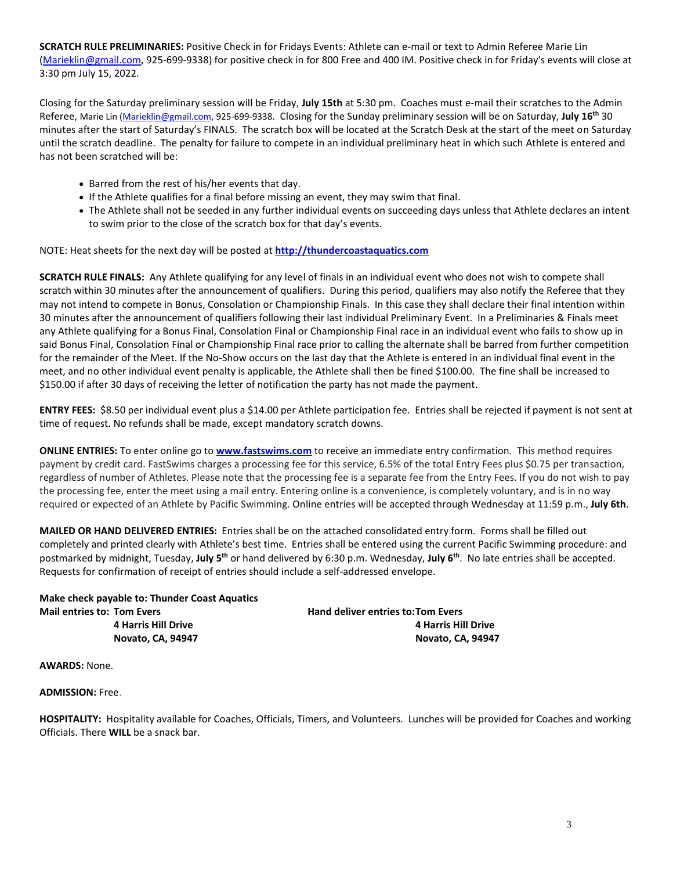**SCRATCH RULE PRELIMINARIES:** Positive Check in for Fridays Events: Athlete can e-mail or text to Admin Referee Marie Lin [\(Marieklin@gmail.com,](mailto:Marieklin@gmail.com) 925-699-9338) for positive check in for 800 Free and 400 IM. Positive check in for Friday's events will close at 3:30 pm July 15, 2022.

Closing for the Saturday preliminary session will be Friday, **July 15th** at 5:30 pm. Coaches must e-mail their scratches to the Admin Referee, Marie Lin [\(Marieklin@gmail.com,](mailto:Marieklin@gmail.com) 925-699-9338. Closing for the Sunday preliminary session will be on Saturday, **July 16th** 30 minutes after the start of Saturday's FINALS. The scratch box will be located at the Scratch Desk at the start of the meet on Saturday until the scratch deadline. The penalty for failure to compete in an individual preliminary heat in which such Athlete is entered and has not been scratched will be:

- Barred from the rest of his/her events that day.
- If the Athlete qualifies for a final before missing an event, they may swim that final.
- The Athlete shall not be seeded in any further individual events on succeeding days unless that Athlete declares an intent to swim prior to the close of the scratch box for that day's events.

NOTE: Heat sheets for the next day will be posted at **[http://thundercoastaquatics.com](http://thundercoastaquatics.com/)** 

**SCRATCH RULE FINALS:** Any Athlete qualifying for any level of finals in an individual event who does not wish to compete shall scratch within 30 minutes after the announcement of qualifiers. During this period, qualifiers may also notify the Referee that they may not intend to compete in Bonus, Consolation or Championship Finals. In this case they shall declare their final intention within 30 minutes after the announcement of qualifiers following their last individual Preliminary Event. In a Preliminaries & Finals meet any Athlete qualifying for a Bonus Final, Consolation Final or Championship Final race in an individual event who fails to show up in said Bonus Final, Consolation Final or Championship Final race prior to calling the alternate shall be barred from further competition for the remainder of the Meet. If the No-Show occurs on the last day that the Athlete is entered in an individual final event in the meet, and no other individual event penalty is applicable, the Athlete shall then be fined \$100.00. The fine shall be increased to \$150.00 if after 30 days of receiving the letter of notification the party has not made the payment.

**ENTRY FEES:** \$8.50 per individual event plus a \$14.00 per Athlete participation fee. Entries shall be rejected if payment is not sent at time of request. No refunds shall be made, except mandatory scratch downs.

**ONLINE ENTRIES:** To enter online go to **[www.fastswims.com](http://www.fastswims.com/)** to receive an immediate entry confirmation. This method requires payment by credit card. FastSwims charges a processing fee for this service, 6.5% of the total Entry Fees plus \$0.75 per transaction, regardless of number of Athletes. Please note that the processing fee is a separate fee from the Entry Fees. If you do not wish to pay the processing fee, enter the meet using a mail entry. Entering online is a convenience, is completely voluntary, and is in no way required or expected of an Athlete by Pacific Swimming. Online entries will be accepted through Wednesday at 11:59 p.m., **July 6th**.

**MAILED OR HAND DELIVERED ENTRIES:** Entries shall be on the attached consolidated entry form. Forms shall be filled out completely and printed clearly with Athlete's best time. Entries shall be entered using the current Pacific Swimming procedure: and postmarked by midnight, Tuesday, **July 5 th** or hand delivered by 6:30 p.m. Wednesday, **July 6th** . No late entries shall be accepted. Requests for confirmation of receipt of entries should include a self-addressed envelope.

**Make check payable to: Thunder Coast Aquatics Mail entries to: Tom Evers Hand deliver entries to: Tom Evers** 

**4 Harris Hill Drive 4 Harris Hill Drive Novato, CA, 94947 Novato, CA, 94947**

**AWARDS:** None.

**ADMISSION:** Free.

**HOSPITALITY:** Hospitality available for Coaches, Officials, Timers, and Volunteers. Lunches will be provided for Coaches and working Officials. There **WILL** be a snack bar.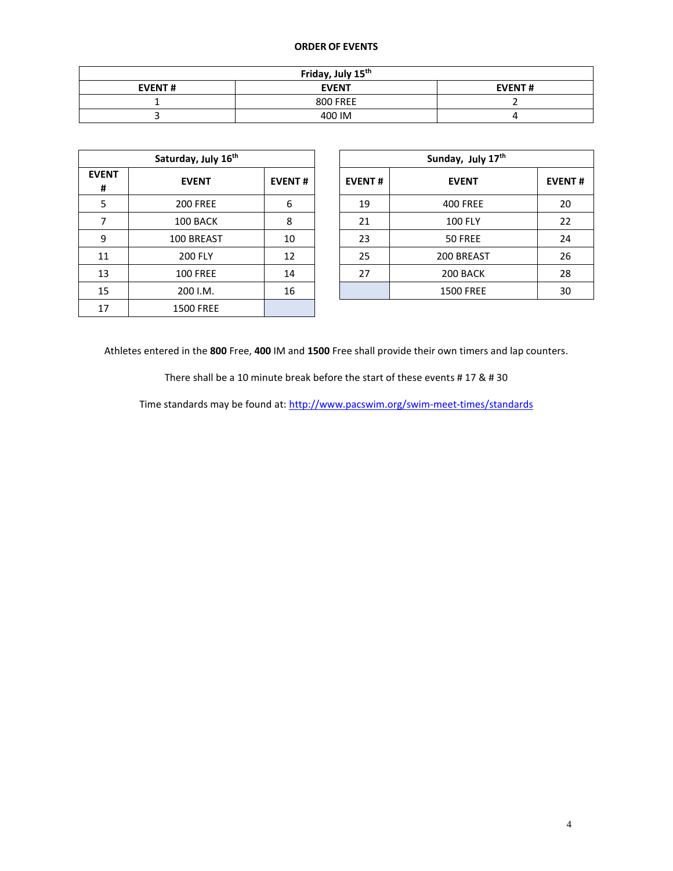#### **ORDER OF EVENTS**

| Friday, July 15th |                 |               |  |  |  |  |  |
|-------------------|-----------------|---------------|--|--|--|--|--|
| <b>EVENT#</b>     | <b>EVENT</b>    | <b>EVENT#</b> |  |  |  |  |  |
|                   | <b>800 FREE</b> |               |  |  |  |  |  |
|                   | 400 IM          |               |  |  |  |  |  |

| Saturday, July 16th |                  |               |  |  |  |  |  |
|---------------------|------------------|---------------|--|--|--|--|--|
| <b>EVENT</b><br>#   | <b>EVENT</b>     | <b>EVENT#</b> |  |  |  |  |  |
| 5                   | <b>200 FREE</b>  | 6             |  |  |  |  |  |
| 7                   | 100 BACK         | 8             |  |  |  |  |  |
| 9                   | 100 BREAST       | 10            |  |  |  |  |  |
| 11                  | <b>200 FLY</b>   | 12            |  |  |  |  |  |
| 13                  | <b>100 FREE</b>  | 14            |  |  |  |  |  |
| 15                  | 200 I.M.         | 16            |  |  |  |  |  |
| 17                  | <b>1500 FREE</b> |               |  |  |  |  |  |

|                 | Saturday, July 16 <sup>th</sup> |               | Sunday, July 17th |                  |               |  |  |
|-----------------|---------------------------------|---------------|-------------------|------------------|---------------|--|--|
| <b>ENT</b><br># | <b>EVENT</b>                    | <b>EVENT#</b> | <b>EVENT#</b>     | <b>EVENT</b>     | <b>EVENT#</b> |  |  |
| 5               | <b>200 FREE</b>                 | 6             | 19                | <b>400 FREE</b>  | 20            |  |  |
| $\overline{7}$  | 100 BACK                        | 8             | 21                | <b>100 FLY</b>   | 22            |  |  |
| 9               | 100 BREAST                      | 10            | 23                | 50 FREE          | 24            |  |  |
| 11              | <b>200 FLY</b>                  | 12            | 25                | 200 BREAST       | 26            |  |  |
| 13              | <b>100 FREE</b>                 | 14            | 27                | 200 BACK         | 28            |  |  |
| 15              | 200 I.M.                        | 16            |                   | <b>1500 FREE</b> | 30            |  |  |

Athletes entered in the **800** Free, **400** IM and **1500** Free shall provide their own timers and lap counters.

There shall be a 10 minute break before the start of these events # 17 & # 30

Time standards may be found at:<http://www.pacswim.org/swim-meet-times/standards>